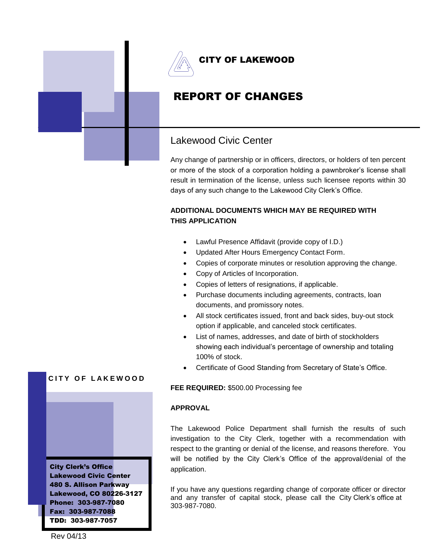

# REPORT OF CHANGES

## Lakewood Civic Center

Any change of partnership or in officers, directors, or holders of ten percent or more of the stock of a corporation holding a pawnbroker's license shall result in termination of the license, unless such licensee reports within 30 days of any such change to the Lakewood City Clerk's Office.

## **ADDITIONAL DOCUMENTS WHICH MAY BE REQUIRED WITH THIS APPLICATION**

- Lawful Presence Affidavit (provide copy of I.D.)
- Updated After Hours Emergency Contact Form.
- Copies of corporate minutes or resolution approving the change.
- Copy of Articles of Incorporation.
- Copies of letters of resignations, if applicable.
- Purchase documents including agreements, contracts, loan documents, and promissory notes.
- All stock certificates issued, front and back sides, buy-out stock option if applicable, and canceled stock certificates.
- List of names, addresses, and date of birth of stockholders showing each individual's percentage of ownership and totaling 100% of stock.
- Certificate of Good Standing from Secretary of State's Office.

#### **FEE REQUIRED:** \$500.00 Processing fee

#### **APPROVAL**

The Lakewood Police Department shall furnish the results of such investigation to the City Clerk, together with a recommendation with respect to the granting or denial of the license, and reasons therefore. You will be notified by the City Clerk's Office of the approval/denial of the application.

If you have any questions regarding change of corporate officer or director and any transfer of capital stock, please call the City Clerk's office at 303-987-7080.

## **CITY OF LAKEWOOD**

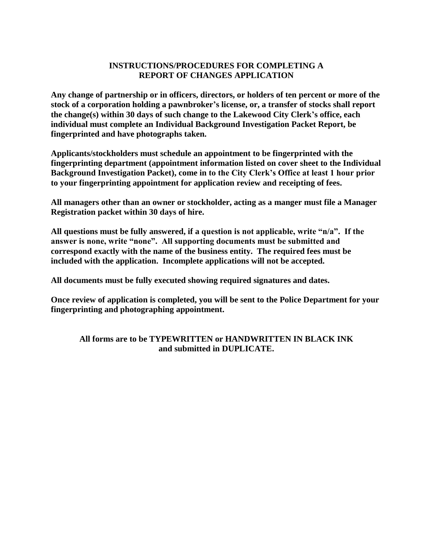### **INSTRUCTIONS/PROCEDURES FOR COMPLETING A REPORT OF CHANGES APPLICATION**

**Any change of partnership or in officers, directors, or holders of ten percent or more of the stock of a corporation holding a pawnbroker's license, or, a transfer of stocks shall report the change(s) within 30 days of such change to the Lakewood City Clerk's office, each individual must complete an Individual Background Investigation Packet Report, be fingerprinted and have photographs taken.**

**Applicants/stockholders must schedule an appointment to be fingerprinted with the fingerprinting department (appointment information listed on cover sheet to the Individual Background Investigation Packet), come in to the City Clerk's Office at least 1 hour prior to your fingerprinting appointment for application review and receipting of fees.**

**All managers other than an owner or stockholder, acting as a manger must file a Manager Registration packet within 30 days of hire.**

**All questions must be fully answered, if a question is not applicable, write "n/a". If the answer is none, write "none". All supporting documents must be submitted and correspond exactly with the name of the business entity. The required fees must be included with the application. Incomplete applications will not be accepted.**

**All documents must be fully executed showing required signatures and dates.**

**Once review of application is completed, you will be sent to the Police Department for your fingerprinting and photographing appointment.**

### **All forms are to be TYPEWRITTEN or HANDWRITTEN IN BLACK INK and submitted in DUPLICATE.**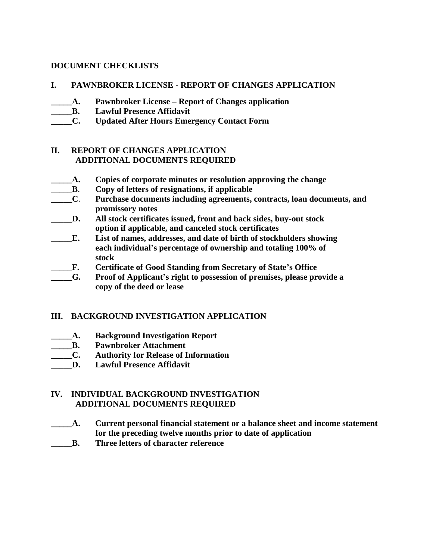#### **DOCUMENT CHECKLISTS**

- **I. PAWNBROKER LICENSE - REPORT OF CHANGES APPLICATION**
- **\_\_\_\_\_A. Pawnbroker License – Report of Changes application**
- **\_\_\_\_\_B. Lawful Presence Affidavit**
- \_\_\_\_\_**C. Updated After Hours Emergency Contact Form**

#### **II. REPORT OF CHANGES APPLICATION ADDITIONAL DOCUMENTS REQUIRED**

- **\_\_\_\_\_A. Copies of corporate minutes or resolution approving the change**
- \_\_\_\_\_**B**. **Copy of letters of resignations, if applicable**
- \_\_\_\_\_**C**. **Purchase documents including agreements, contracts, loan documents, and promissory notes**
- **\_\_\_\_\_D. All stock certificates issued, front and back sides, buy-out stock option if applicable, and canceled stock certificates**
- **\_\_\_\_\_E. List of names, addresses, and date of birth of stockholders showing each individual's percentage of ownership and totaling 100% of stock**
- \_\_\_\_\_**F. Certificate of Good Standing from Secretary of State's Office**
- **\_\_\_\_\_G. Proof of Applicant's right to possession of premises, please provide a copy of the deed or lease**

### **III. BACKGROUND INVESTIGATION APPLICATION**

- **\_\_\_\_\_A. Background Investigation Report**
- **\_\_\_\_\_B. Pawnbroker Attachment**
- **\_\_\_\_\_C. Authority for Release of Information**
- **\_\_\_\_\_D. Lawful Presence Affidavit**

### **IV. INDIVIDUAL BACKGROUND INVESTIGATION ADDITIONAL DOCUMENTS REQUIRED**

- **\_\_\_\_\_A. Current personal financial statement or a balance sheet and income statement for the preceding twelve months prior to date of application**
- **\_\_\_\_\_B. Three letters of character reference**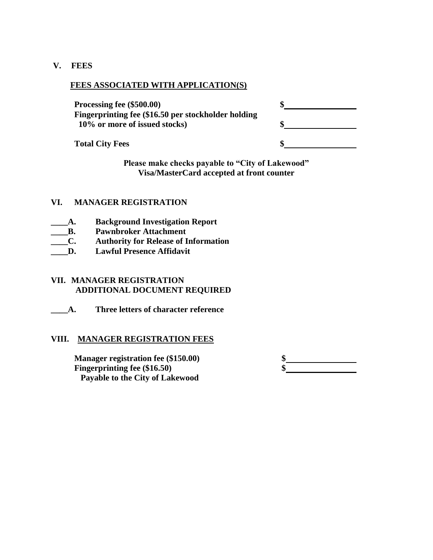**V. FEES**

#### **FEES ASSOCIATED WITH APPLICATION(S)**

**Processing fee (\$500.00) \$ Fingerprinting fee (\$16.50 per stockholder holding 10% or more of issued stocks) \$**

**Total City Fees \$**

| Þ  |  |
|----|--|
| \$ |  |
|    |  |

**Please make checks payable to "City of Lakewood" Visa/MasterCard accepted at front counter**

#### **VI. MANAGER REGISTRATION**

- **\_\_\_\_A. Background Investigation Report**
- **\_\_\_\_B. Pawnbroker Attachment**
- **\_\_\_\_C. Authority for Release of Information**
- **\_\_\_\_D. Lawful Presence Affidavit**

#### **VII. MANAGER REGISTRATION ADDITIONAL DOCUMENT REQUIRED**

**\_\_\_\_A. Three letters of character reference**

#### **VIII. MANAGER REGISTRATION FEES**

**Manager registration fee (\$150.00) Fingerprinting fee (\$16.50) \$ Payable to the City of Lakewood**

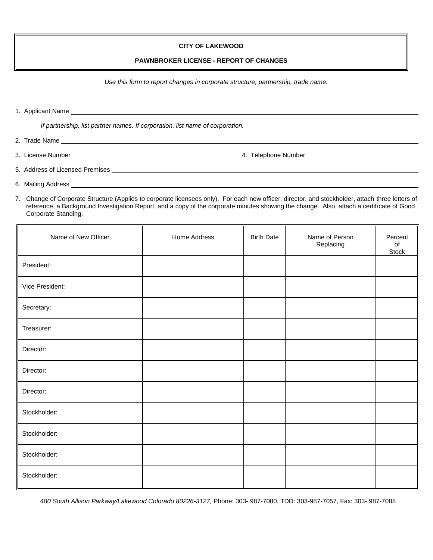#### **CITY OF LAKEWOOD**

#### **PAWNBROKER LICENSE - REPORT OF CHANGES**

*Use this form to report changes in corporate structure, partnership, trade name.*

|  | 1. Applicant Name |
|--|-------------------|
|  |                   |

*If partnership, list partner names. If corporation, list name of corporation.*

- 2. Trade Name
- 3. License Number **1. Community 1. Telephone Number** 4. Telephone Number **1. Community 1. Telephone Number** 1. Telephone Number 1. Telephone Number 1. Telephone Number 1. Telephone Number 1. Telephone Number 1. Telephone N

- 5. Address of Licensed Premises
- 6. Mailing Address
- 7. Change of Corporate Structure (Applies to corporate licensees only). For each new officer, director, and stockholder, attach three letters of reference, a Background Investigation Report, and a copy of the corporate minutes showing the change. Also, attach a certificate of Good Corporate Standing.

| Name of New Officer | Home Address | <b>Birth Date</b> | Name of Person<br>Replacing | Percent<br>of<br>Stock |
|---------------------|--------------|-------------------|-----------------------------|------------------------|
| President:          |              |                   |                             |                        |
| Vice President:     |              |                   |                             |                        |
| Secretary:          |              |                   |                             |                        |
| Treasurer:          |              |                   |                             |                        |
| Director:           |              |                   |                             |                        |
| Director:           |              |                   |                             |                        |
| Director:           |              |                   |                             |                        |
| Stockholder:        |              |                   |                             |                        |
| Stockholder:        |              |                   |                             |                        |
| Stockholder:        |              |                   |                             |                        |
| Stockholder:        |              |                   |                             |                        |

*480 South Allison Parkway/Lakewood Colorado 80226-3127,* Phone: 303- 987-7080, TDD: 303-987-7057, Fax: 303- 987-7088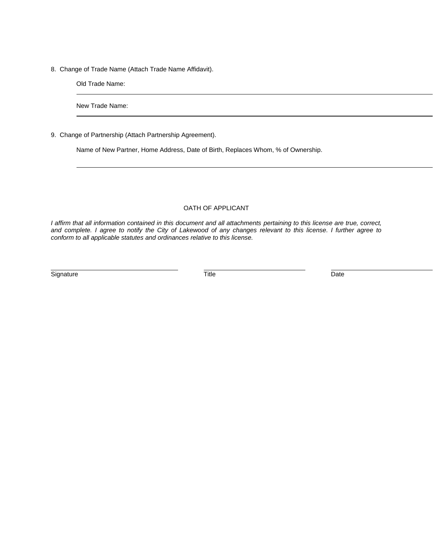8. Change of Trade Name (Attach Trade Name Affidavit).

Old Trade Name:

New Trade Name:

9. Change of Partnership (Attach Partnership Agreement).

Name of New Partner, Home Address, Date of Birth, Replaces Whom, % of Ownership.

#### OATH OF APPLICANT

*I affirm that all information contained in this document and all attachments pertaining to this license are true, correct, and complete. I agree to notify the City of Lakewood of any changes relevant to this license. I further agree to conform to all applicable statutes and ordinances relative to this license.*

Signature Date Date of the Date of Title Contract of the Date of the Date of the Date of the Date of the Date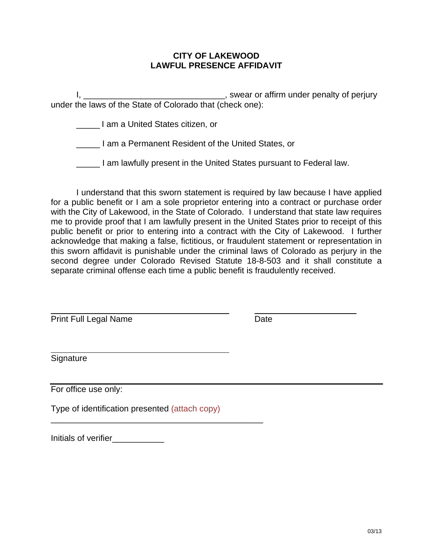#### **CITY OF LAKEWOOD LAWFUL PRESENCE AFFIDAVIT**

I, \_\_\_\_\_\_\_\_\_\_\_\_\_\_\_\_\_\_\_\_\_\_\_\_\_\_\_\_\_\_\_\_\_, swear or affirm under penalty of perjury under the laws of the State of Colorado that (check one):

\_\_\_\_\_ I am a United States citizen, or

\_\_\_\_\_ I am a Permanent Resident of the United States, or

\_\_\_\_\_ I am lawfully present in the United States pursuant to Federal law.

 I understand that this sworn statement is required by law because I have applied for a public benefit or I am a sole proprietor entering into a contract or purchase order with the City of Lakewood, in the State of Colorado. I understand that state law requires me to provide proof that I am lawfully present in the United States prior to receipt of this public benefit or prior to entering into a contract with the City of Lakewood. I further acknowledge that making a false, fictitious, or fraudulent statement or representation in this sworn affidavit is punishable under the criminal laws of Colorado as perjury in the second degree under Colorado Revised Statute 18-8-503 and it shall constitute a separate criminal offense each time a public benefit is fraudulently received.

Print Full Legal Name Date

**Signature** 

 $\overline{a}$ 

 $\overline{a}$ 

For office use only:

Type of identification presented (attach copy)

\_\_\_\_\_\_\_\_\_\_\_\_\_\_\_\_\_\_\_\_\_\_\_\_\_\_\_\_\_\_\_\_\_\_\_\_\_\_\_\_\_\_\_\_\_

Initials of verifier\_\_\_\_\_\_\_\_\_\_\_\_